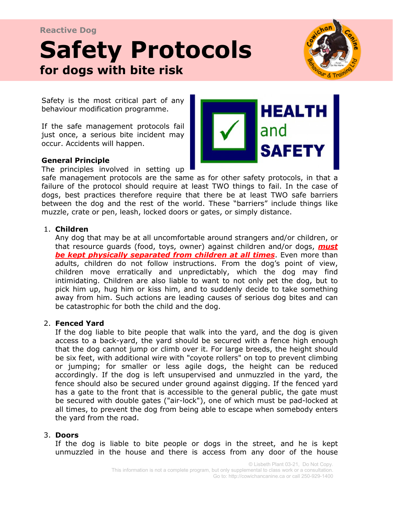### **Reactive Dog**

# for dogs with bite risk and is in possession of a value of a value of a value of a value of a value of a value resource, can be a very serious problem. **Safety Protocols**



Safety is the most critical part of any behaviour modification programme.

If the safe management protocols fail just once, a serious bite incident may occur. Accidents will happen.



#### **General Principle**

The principles involved in setting up

safe management protocols are the same as for other safety protocols, in that a failure of the protocol should require at least TWO things to fail. In the case of dogs, best practices therefore require that there be at least TWO safe barriers between the dog and the rest of the world. These "barriers" include things like muzzle, crate or pen, leash, locked doors or gates, or simply distance.

#### 1. **Children**

Any dog that may be at all uncomfortable around strangers and/or children, or that resource guards (food, toys, owner) against children and/or dogs, *must be kept physically separated from children at all times*. Even more than adults, children do not follow instructions. From the dog's point of view, children move erratically and unpredictably, which the dog may find intimidating. Children are also liable to want to not only pet the dog, but to pick him up, hug him or kiss him, and to suddenly decide to take something away from him. Such actions are leading causes of serious dog bites and can be catastrophic for both the child and the dog.

#### 2. **Fenced Yard**

If the dog liable to bite people that walk into the yard, and the dog is given access to a back-yard, the yard should be secured with a fence high enough that the dog cannot jump or climb over it. For large breeds, the height should be six feet, with additional wire with "coyote rollers" on top to prevent climbing or jumping; for smaller or less agile dogs, the height can be reduced accordingly. If the dog is left unsupervised and unmuzzled in the yard, the fence should also be secured under ground against digging. If the fenced yard has a gate to the front that is accessible to the general public, the gate must be secured with double gates ("air-lock"), one of which must be pad-locked at all times, to prevent the dog from being able to escape when somebody enters the yard from the road.

#### 3. **Doors**

If the dog is liable to bite people or dogs in the street, and he is kept unmuzzled in the house and there is access from any door of the house